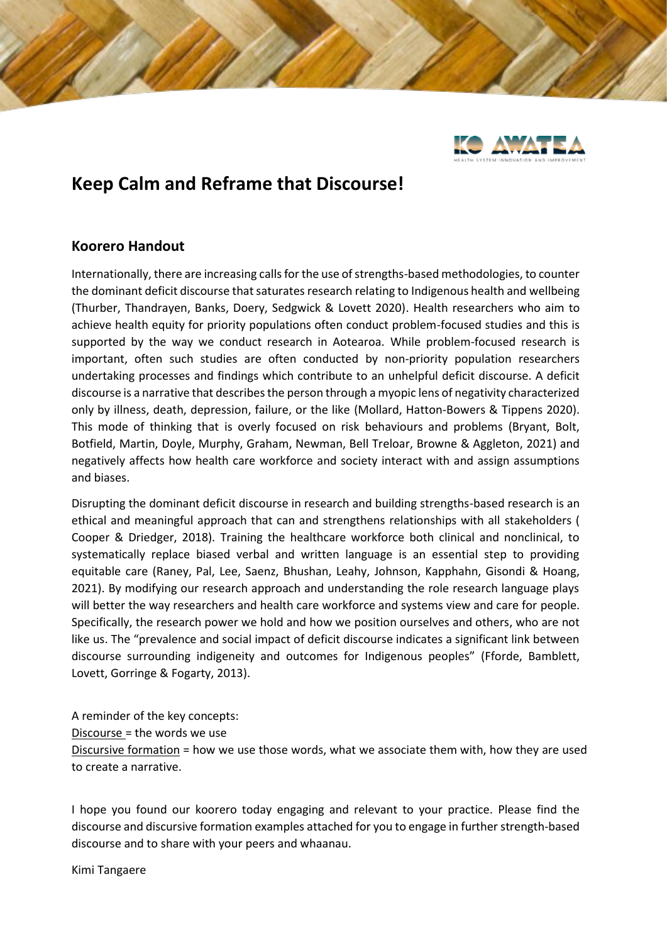

## **Keep Calm and Reframe that Discourse!**

## **Koorero Handout**

Internationally, there are increasing calls for the use of strengths-based methodologies, to counter the dominant deficit discourse that saturates research relating to Indigenous health and wellbeing (Thurber, Thandrayen, Banks, Doery, Sedgwick & Lovett 2020). Health researchers who aim to achieve health equity for priority populations often conduct problem-focused studies and this is supported by the way we conduct research in Aotearoa. While problem-focused research is important, often such studies are often conducted by non-priority population researchers undertaking processes and findings which contribute to an unhelpful deficit discourse. A deficit discourse is a narrative that describes the person through a myopic lens of negativity characterized only by illness, death, depression, failure, or the like (Mollard, Hatton-Bowers & Tippens 2020). This mode of thinking that is overly focused on risk behaviours and problems (Bryant, Bolt, Botfield, Martin, Doyle, Murphy, Graham, Newman, Bell Treloar, Browne & Aggleton, 2021) and negatively affects how health care workforce and society interact with and assign assumptions and biases.

Disrupting the dominant deficit discourse in research and building strengths-based research is an ethical and meaningful approach that can and strengthens relationships with all stakeholders ( Cooper & Driedger, 2018). Training the healthcare workforce both clinical and nonclinical, to systematically replace biased verbal and written language is an essential step to providing equitable care (Raney, Pal, Lee, Saenz, Bhushan, Leahy, Johnson, Kapphahn, Gisondi & Hoang, 2021). By modifying our research approach and understanding the role research language plays will better the way researchers and health care workforce and systems view and care for people. Specifically, the research power we hold and how we position ourselves and others, who are not like us. The "prevalence and social impact of deficit discourse indicates a significant link between discourse surrounding indigeneity and outcomes for Indigenous peoples" (Fforde, Bamblett, Lovett, Gorringe & Fogarty, 2013).

A reminder of the key concepts: Discourse = the words we use Discursive formation = how we use those words, what we associate them with, how they are used to create a narrative.

I hope you found our koorero today engaging and relevant to your practice. Please find the discourse and discursive formation examples attached for you to engage in further strength-based discourse and to share with your peers and whaanau.

Kimi Tangaere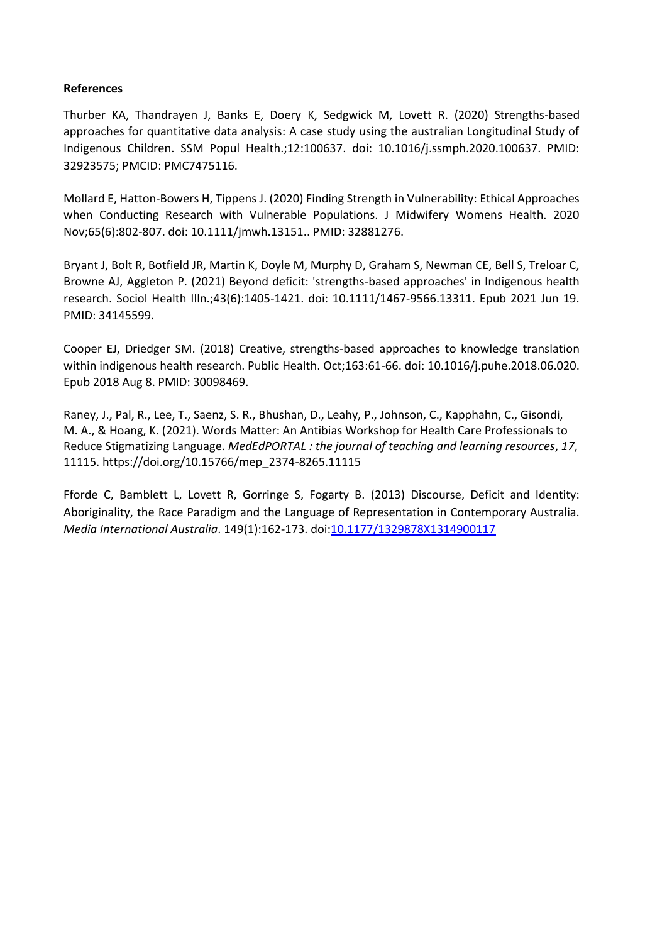## **References**

Thurber KA, Thandrayen J, Banks E, Doery K, Sedgwick M, Lovett R. (2020) Strengths-based approaches for quantitative data analysis: A case study using the australian Longitudinal Study of Indigenous Children. SSM Popul Health.;12:100637. doi: 10.1016/j.ssmph.2020.100637. PMID: 32923575; PMCID: PMC7475116.

Mollard E, Hatton-Bowers H, Tippens J. (2020) Finding Strength in Vulnerability: Ethical Approaches when Conducting Research with Vulnerable Populations. J Midwifery Womens Health. 2020 Nov;65(6):802-807. doi: 10.1111/jmwh.13151.. PMID: 32881276.

Bryant J, Bolt R, Botfield JR, Martin K, Doyle M, Murphy D, Graham S, Newman CE, Bell S, Treloar C, Browne AJ, Aggleton P. (2021) Beyond deficit: 'strengths-based approaches' in Indigenous health research. Sociol Health Illn.;43(6):1405-1421. doi: 10.1111/1467-9566.13311. Epub 2021 Jun 19. PMID: 34145599.

Cooper EJ, Driedger SM. (2018) Creative, strengths-based approaches to knowledge translation within indigenous health research. Public Health. Oct;163:61-66. doi: 10.1016/j.puhe.2018.06.020. Epub 2018 Aug 8. PMID: 30098469.

Raney, J., Pal, R., Lee, T., Saenz, S. R., Bhushan, D., Leahy, P., Johnson, C., Kapphahn, C., Gisondi, M. A., & Hoang, K. (2021). Words Matter: An Antibias Workshop for Health Care Professionals to Reduce Stigmatizing Language. *MedEdPORTAL : the journal of teaching and learning resources*, *17*, 11115. https://doi.org/10.15766/mep\_2374-8265.11115

Fforde C, Bamblett L, Lovett R, Gorringe S, Fogarty B. (2013) Discourse, Deficit and Identity: Aboriginality, the Race Paradigm and the Language of Representation in Contemporary Australia. *Media International Australia*. 149(1):162-173. doi[:10.1177/1329878X1314900117](https://doi.org/10.1177/1329878X1314900117)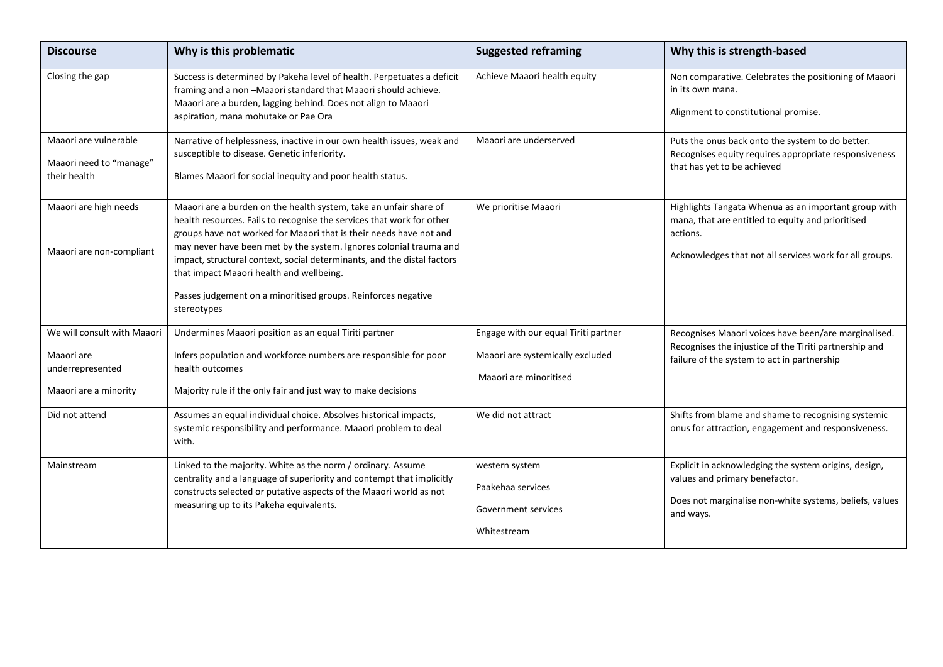| <b>Discourse</b>                                                                       | Why is this problematic                                                                                                                                                                                                                                                                                                                                                                                                                                                                       | <b>Suggested reframing</b>                                                                         | Why this is strength-based                                                                                                                                                       |
|----------------------------------------------------------------------------------------|-----------------------------------------------------------------------------------------------------------------------------------------------------------------------------------------------------------------------------------------------------------------------------------------------------------------------------------------------------------------------------------------------------------------------------------------------------------------------------------------------|----------------------------------------------------------------------------------------------------|----------------------------------------------------------------------------------------------------------------------------------------------------------------------------------|
| Closing the gap                                                                        | Success is determined by Pakeha level of health. Perpetuates a deficit<br>framing and a non-Maaori standard that Maaori should achieve.<br>Maaori are a burden, lagging behind. Does not align to Maaori<br>aspiration, mana mohutake or Pae Ora                                                                                                                                                                                                                                              | Achieve Maaori health equity                                                                       | Non comparative. Celebrates the positioning of Maaori<br>in its own mana.<br>Alignment to constitutional promise.                                                                |
| Maaori are vulnerable<br>Maaori need to "manage"<br>their health                       | Narrative of helplessness, inactive in our own health issues, weak and<br>susceptible to disease. Genetic inferiority.<br>Blames Maaori for social inequity and poor health status.                                                                                                                                                                                                                                                                                                           | Maaori are underserved                                                                             | Puts the onus back onto the system to do better.<br>Recognises equity requires appropriate responsiveness<br>that has yet to be achieved                                         |
| Maaori are high needs<br>Maaori are non-compliant                                      | Maaori are a burden on the health system, take an unfair share of<br>health resources. Fails to recognise the services that work for other<br>groups have not worked for Maaori that is their needs have not and<br>may never have been met by the system. Ignores colonial trauma and<br>impact, structural context, social determinants, and the distal factors<br>that impact Maaori health and wellbeing.<br>Passes judgement on a minoritised groups. Reinforces negative<br>stereotypes | We prioritise Maaori                                                                               | Highlights Tangata Whenua as an important group with<br>mana, that are entitled to equity and prioritised<br>actions.<br>Acknowledges that not all services work for all groups. |
| We will consult with Maaori<br>Maaori are<br>underrepresented<br>Maaori are a minority | Undermines Maaori position as an equal Tiriti partner<br>Infers population and workforce numbers are responsible for poor<br>health outcomes<br>Majority rule if the only fair and just way to make decisions                                                                                                                                                                                                                                                                                 | Engage with our equal Tiriti partner<br>Maaori are systemically excluded<br>Maaori are minoritised | Recognises Maaori voices have been/are marginalised.<br>Recognises the injustice of the Tiriti partnership and<br>failure of the system to act in partnership                    |
| Did not attend                                                                         | Assumes an equal individual choice. Absolves historical impacts,<br>systemic responsibility and performance. Maaori problem to deal<br>with.                                                                                                                                                                                                                                                                                                                                                  | We did not attract                                                                                 | Shifts from blame and shame to recognising systemic<br>onus for attraction, engagement and responsiveness.                                                                       |
| Mainstream                                                                             | Linked to the majority. White as the norm / ordinary. Assume<br>centrality and a language of superiority and contempt that implicitly<br>constructs selected or putative aspects of the Maaori world as not<br>measuring up to its Pakeha equivalents.                                                                                                                                                                                                                                        | western system<br>Paakehaa services<br>Government services<br>Whitestream                          | Explicit in acknowledging the system origins, design,<br>values and primary benefactor.<br>Does not marginalise non-white systems, beliefs, values<br>and ways.                  |